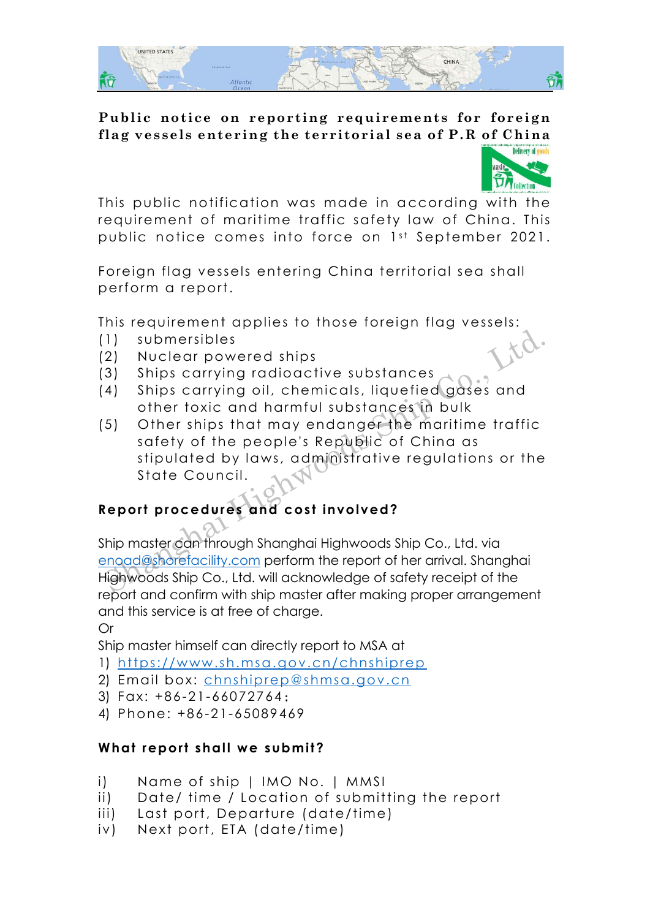

## **Public notice on reporting requirements for foreign flag vessels entering the territorial sea of P.R of China**



This public notification was made in according with the requirement of maritime traffic safety law of China. This public notice comes into force on 1st September 2021.

Foreign flag vessels entering China territorial sea shall perform a report.

This requirement applies to those foreign flag vessels:

- (1) submersibles
- (2) Nuclear powered ships
- (3) Ships carrying radioactive substances
- (4) Ships carrying oil, chemicals, liquefied gases and other toxic and harmful substances in bulk
- (5) Other ships that may endanger the maritime traffic safety of the people's Republic of China as stipulated by laws, administrative regulations or the State Council. The submersibles<br>
Ships carrying radioactive substances<br>
Ships carrying radioactive substances<br>
4) Ships carrying oil, chemicals, liquefied gases and<br>
other toxic and harmful substances in bulk<br>
5) Other ships that may end

## **Report procedures and cost involved?**

Ship master can through Shanghai Highwoods Ship Co., Ltd. via enoad@shorefacility.com perform the report of her arrival. Shanghai Highwoods Ship Co., Ltd. will acknowledge of safety receipt of the report and confirm with ship master after making proper arrangement and this service is at free of charge.

Or

Ship master himself can directly report to MSA at

- 1) <https://www.sh.msa.gov.cn/chnshiprep>
- 2) Email box: [chnshiprep@shmsa.gov.cn](mailto:chnshiprep@shmsa.gov.cn)
- 3) Fax: +86-21-66072764;
- 4) Phone: +86-21-65089469

## **What report shall we submit?**

- i) Name of ship | IMO No. | MMSI
- ii) Date/ time / Location of submitting the report
- iii) Last port, Departure (date/time)
- iv) Next port, ETA (date/time)